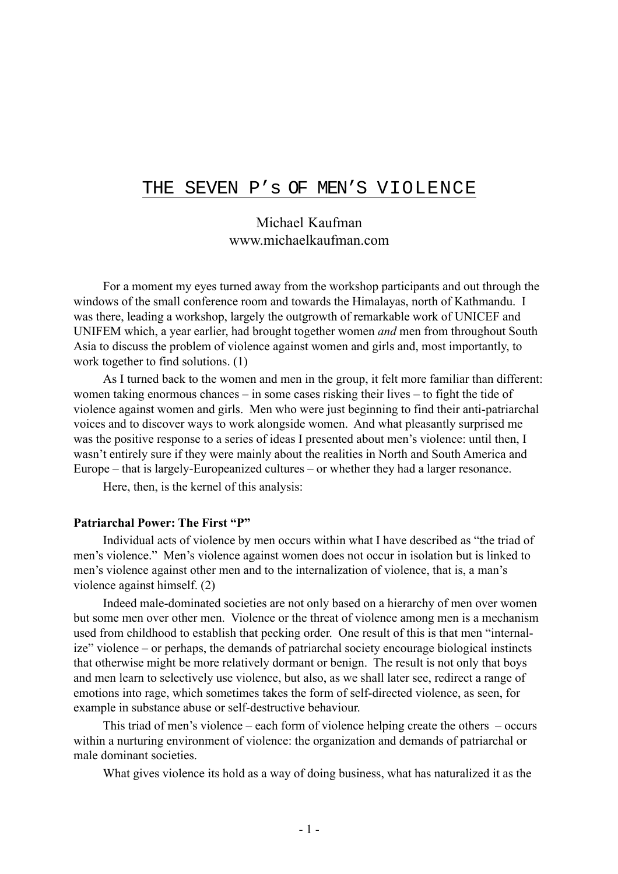# THE SEVEN P's OF MEN'S VIOLENCE

Michael Kaufman www.michaelkaufman.com

For a moment my eyes turned away from the workshop participants and out through the windows of the small conference room and towards the Himalayas, north of Kathmandu. I was there, leading a workshop, largely the outgrowth of remarkable work of UNICEF and UNIFEM which, a year earlier, had brought together women *and* men from throughout South Asia to discuss the problem of violence against women and girls and, most importantly, to work together to find solutions. (1)

As I turned back to the women and men in the group, it felt more familiar than different: women taking enormous chances – in some cases risking their lives – to fight the tide of violence against women and girls. Men who were just beginning to find their anti-patriarchal voices and to discover ways to work alongside women. And what pleasantly surprised me was the positive response to a series of ideas I presented about men's violence: until then, I wasn't entirely sure if they were mainly about the realities in North and South America and Europe – that is largely-Europeanized cultures – or whether they had a larger resonance.

Here, then, is the kernel of this analysis:

#### **Patriarchal Power: The First "P"**

Individual acts of violence by men occurs within what I have described as "the triad of men's violence." Men's violence against women does not occur in isolation but is linked to men's violence against other men and to the internalization of violence, that is, a man's violence against himself. (2)

Indeed male-dominated societies are not only based on a hierarchy of men over women but some men over other men. Violence or the threat of violence among men is a mechanism used from childhood to establish that pecking order. One result of this is that men "internalize" violence – or perhaps, the demands of patriarchal society encourage biological instincts that otherwise might be more relatively dormant or benign. The result is not only that boys and men learn to selectively use violence, but also, as we shall later see, redirect a range of emotions into rage, which sometimes takes the form of self-directed violence, as seen, for example in substance abuse or self-destructive behaviour.

This triad of men's violence – each form of violence helping create the others – occurs within a nurturing environment of violence: the organization and demands of patriarchal or male dominant societies.

What gives violence its hold as a way of doing business, what has naturalized it as the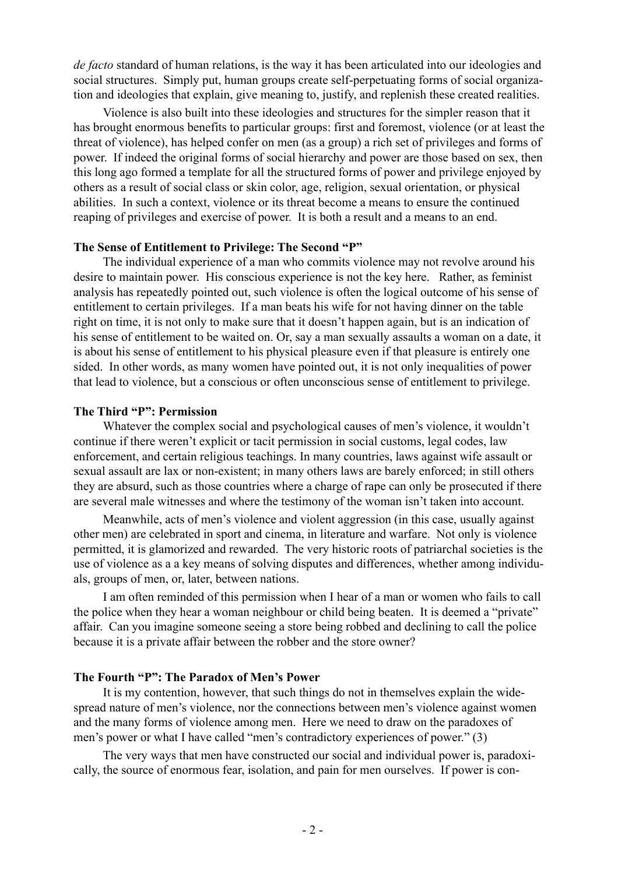*de facto* standard of human relations, is the way it has been articulated into our ideologies and social structures. Simply put, human groups create self-perpetuating forms of social organization and ideologies that explain, give meaning to, justify, and replenish these created realities.

Violence is also built into these ideologies and structures for the simpler reason that it has brought enormous benefits to particular groups: first and foremost, violence (or at least the threat of violence), has helped confer on men (as a group) a rich set of privileges and forms of power. If indeed the original forms of social hierarchy and power are those based on sex, then this long ago formed a template for all the structured forms of power and privilege enjoyed by others as a result of social class or skin color, age, religion, sexual orientation, or physical abilities. In such a context, violence or its threat become a means to ensure the continued reaping of privileges and exercise of power. It is both a result and a means to an end.

### **The Sense of Entitlement to Privilege: The Second "P"**

The individual experience of a man who commits violence may not revolve around his desire to maintain power. His conscious experience is not the key here. Rather, as feminist analysis has repeatedly pointed out, such violence is often the logical outcome of his sense of entitlement to certain privileges. If a man beats his wife for not having dinner on the table right on time, it is not only to make sure that it doesn't happen again, but is an indication of his sense of entitlement to be waited on. Or, say a man sexually assaults a woman on a date, it is about his sense of entitlement to his physical pleasure even if that pleasure is entirely one sided. In other words, as many women have pointed out, it is not only inequalities of power that lead to violence, but a conscious or often unconscious sense of entitlement to privilege.

### **The Third "P": Permission**

Whatever the complex social and psychological causes of men's violence, it wouldn't continue if there weren't explicit or tacit permission in social customs, legal codes, law enforcement, and certain religious teachings. In many countries, laws against wife assault or sexual assault are lax or non-existent; in many others laws are barely enforced; in still others they are absurd, such as those countries where a charge of rape can only be prosecuted if there are several male witnesses and where the testimony of the woman isn't taken into account.

Meanwhile, acts of men's violence and violent aggression (in this case, usually against other men) are celebrated in sport and cinema, in literature and warfare. Not only is violence permitted, it is glamorized and rewarded. The very historic roots of patriarchal societies is the use of violence as a a key means of solving disputes and differences, whether among individuals, groups of men, or, later, between nations.

I am often reminded of this permission when I hear of a man or women who fails to call the police when they hear a woman neighbour or child being beaten. It is deemed a "private" affair. Can you imagine someone seeing a store being robbed and declining to call the police because it is a private affair between the robber and the store owner?

# **The Fourth "P": The Paradox of Men's Power**

It is my contention, however, that such things do not in themselves explain the widespread nature of men's violence, nor the connections between men's violence against women and the many forms of violence among men. Here we need to draw on the paradoxes of men's power or what I have called "men's contradictory experiences of power." (3)

The very ways that men have constructed our social and individual power is, paradoxically, the source of enormous fear, isolation, and pain for men ourselves. If power is con-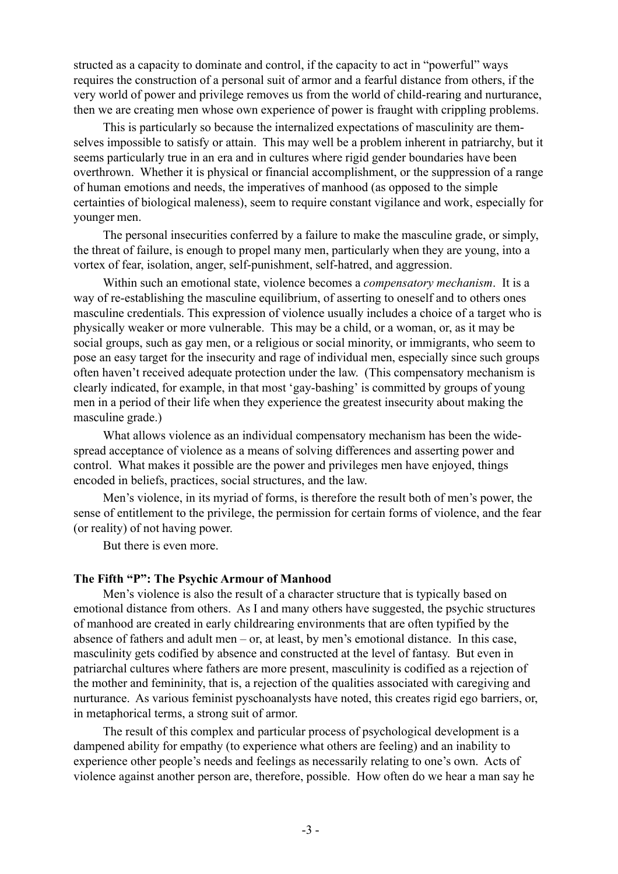structed as a capacity to dominate and control, if the capacity to act in "powerful" ways requires the construction of a personal suit of armor and a fearful distance from others, if the very world of power and privilege removes us from the world of child-rearing and nurturance, then we are creating men whose own experience of power is fraught with crippling problems.

This is particularly so because the internalized expectations of masculinity are themselves impossible to satisfy or attain. This may well be a problem inherent in patriarchy, but it seems particularly true in an era and in cultures where rigid gender boundaries have been overthrown. Whether it is physical or financial accomplishment, or the suppression of a range of human emotions and needs, the imperatives of manhood (as opposed to the simple certainties of biological maleness), seem to require constant vigilance and work, especially for younger men.

The personal insecurities conferred by a failure to make the masculine grade, or simply, the threat of failure, is enough to propel many men, particularly when they are young, into a vortex of fear, isolation, anger, self-punishment, self-hatred, and aggression.

Within such an emotional state, violence becomes a *compensatory mechanism*. It is a way of re-establishing the masculine equilibrium, of asserting to oneself and to others ones masculine credentials. This expression of violence usually includes a choice of a target who is physically weaker or more vulnerable. This may be a child, or a woman, or, as it may be social groups, such as gay men, or a religious or social minority, or immigrants, who seem to pose an easy target for the insecurity and rage of individual men, especially since such groups often haven't received adequate protection under the law. (This compensatory mechanism is clearly indicated, for example, in that most 'gay-bashing' is committed by groups of young men in a period of their life when they experience the greatest insecurity about making the masculine grade.)

What allows violence as an individual compensatory mechanism has been the widespread acceptance of violence as a means of solving differences and asserting power and control. What makes it possible are the power and privileges men have enjoyed, things encoded in beliefs, practices, social structures, and the law.

Men's violence, in its myriad of forms, is therefore the result both of men's power, the sense of entitlement to the privilege, the permission for certain forms of violence, and the fear (or reality) of not having power.

But there is even more.

#### **The Fifth "P": The Psychic Armour of Manhood**

Men's violence is also the result of a character structure that is typically based on emotional distance from others. As I and many others have suggested, the psychic structures of manhood are created in early childrearing environments that are often typified by the absence of fathers and adult men – or, at least, by men's emotional distance. In this case, masculinity gets codified by absence and constructed at the level of fantasy. But even in patriarchal cultures where fathers are more present, masculinity is codified as a rejection of the mother and femininity, that is, a rejection of the qualities associated with caregiving and nurturance. As various feminist pyschoanalysts have noted, this creates rigid ego barriers, or, in metaphorical terms, a strong suit of armor.

The result of this complex and particular process of psychological development is a dampened ability for empathy (to experience what others are feeling) and an inability to experience other people's needs and feelings as necessarily relating to one's own. Acts of violence against another person are, therefore, possible. How often do we hear a man say he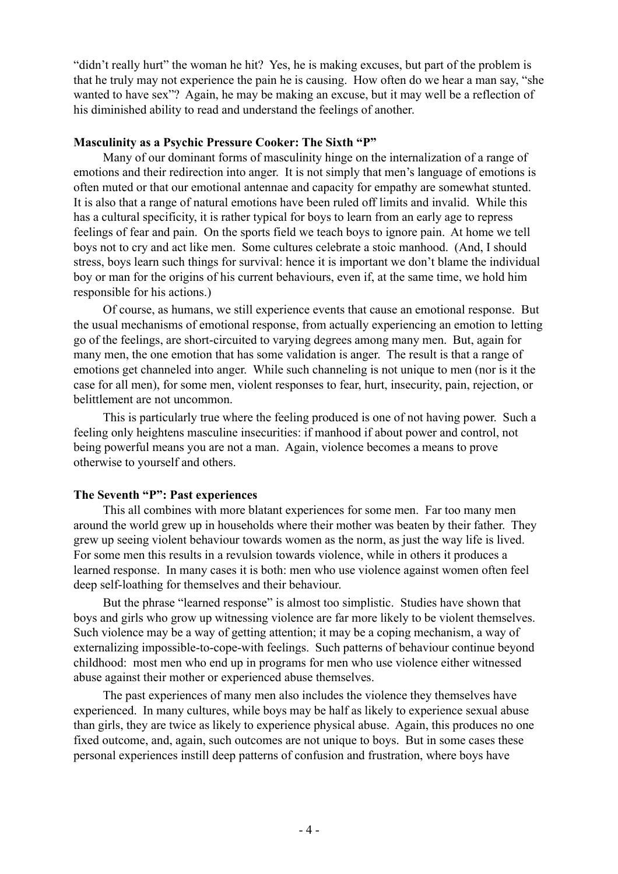"didn't really hurt" the woman he hit? Yes, he is making excuses, but part of the problem is that he truly may not experience the pain he is causing. How often do we hear a man say, "she wanted to have sex"? Again, he may be making an excuse, but it may well be a reflection of his diminished ability to read and understand the feelings of another.

### **Masculinity as a Psychic Pressure Cooker: The Sixth "P"**

Many of our dominant forms of masculinity hinge on the internalization of a range of emotions and their redirection into anger. It is not simply that men's language of emotions is often muted or that our emotional antennae and capacity for empathy are somewhat stunted. It is also that a range of natural emotions have been ruled off limits and invalid. While this has a cultural specificity, it is rather typical for boys to learn from an early age to repress feelings of fear and pain. On the sports field we teach boys to ignore pain. At home we tell boys not to cry and act like men. Some cultures celebrate a stoic manhood. (And, I should stress, boys learn such things for survival: hence it is important we don't blame the individual boy or man for the origins of his current behaviours, even if, at the same time, we hold him responsible for his actions.)

Of course, as humans, we still experience events that cause an emotional response. But the usual mechanisms of emotional response, from actually experiencing an emotion to letting go of the feelings, are short-circuited to varying degrees among many men. But, again for many men, the one emotion that has some validation is anger. The result is that a range of emotions get channeled into anger. While such channeling is not unique to men (nor is it the case for all men), for some men, violent responses to fear, hurt, insecurity, pain, rejection, or belittlement are not uncommon.

This is particularly true where the feeling produced is one of not having power. Such a feeling only heightens masculine insecurities: if manhood if about power and control, not being powerful means you are not a man. Again, violence becomes a means to prove otherwise to yourself and others.

## **The Seventh "P": Past experiences**

This all combines with more blatant experiences for some men. Far too many men around the world grew up in households where their mother was beaten by their father. They grew up seeing violent behaviour towards women as the norm, as just the way life is lived. For some men this results in a revulsion towards violence, while in others it produces a learned response. In many cases it is both: men who use violence against women often feel deep self-loathing for themselves and their behaviour.

But the phrase "learned response" is almost too simplistic. Studies have shown that boys and girls who grow up witnessing violence are far more likely to be violent themselves. Such violence may be a way of getting attention; it may be a coping mechanism, a way of externalizing impossible-to-cope-with feelings. Such patterns of behaviour continue beyond childhood: most men who end up in programs for men who use violence either witnessed abuse against their mother or experienced abuse themselves.

The past experiences of many men also includes the violence they themselves have experienced. In many cultures, while boys may be half as likely to experience sexual abuse than girls, they are twice as likely to experience physical abuse. Again, this produces no one fixed outcome, and, again, such outcomes are not unique to boys. But in some cases these personal experiences instill deep patterns of confusion and frustration, where boys have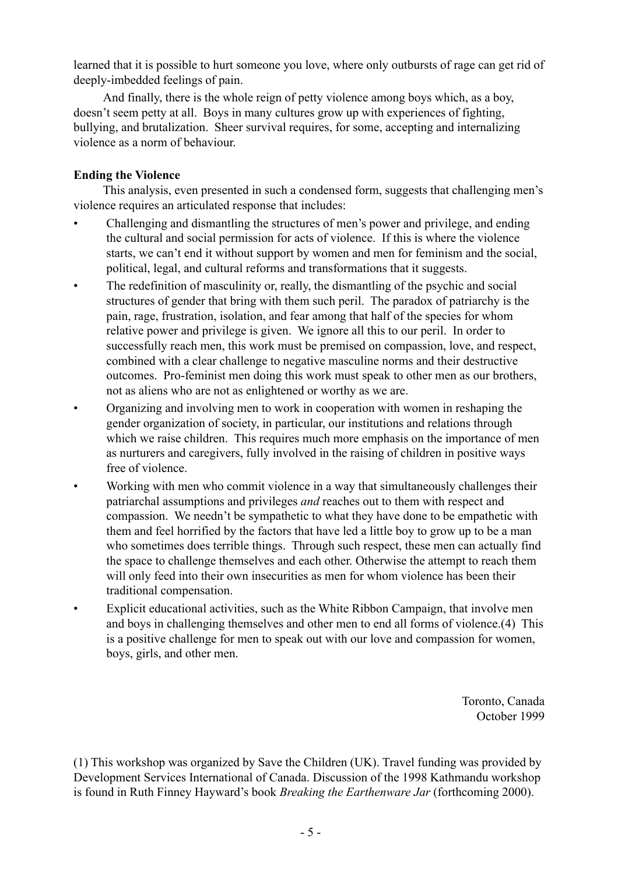learned that it is possible to hurt someone you love, where only outbursts of rage can get rid of deeply-imbedded feelings of pain.

And finally, there is the whole reign of petty violence among boys which, as a boy, doesn't seem petty at all. Boys in many cultures grow up with experiences of fighting, bullying, and brutalization. Sheer survival requires, for some, accepting and internalizing violence as a norm of behaviour.

# **Ending the Violence**

This analysis, even presented in such a condensed form, suggests that challenging men's violence requires an articulated response that includes:

- Challenging and dismantling the structures of men's power and privilege, and ending the cultural and social permission for acts of violence. If this is where the violence starts, we can't end it without support by women and men for feminism and the social, political, legal, and cultural reforms and transformations that it suggests.
- The redefinition of masculinity or, really, the dismantling of the psychic and social structures of gender that bring with them such peril. The paradox of patriarchy is the pain, rage, frustration, isolation, and fear among that half of the species for whom relative power and privilege is given. We ignore all this to our peril. In order to successfully reach men, this work must be premised on compassion, love, and respect, combined with a clear challenge to negative masculine norms and their destructive outcomes. Pro-feminist men doing this work must speak to other men as our brothers, not as aliens who are not as enlightened or worthy as we are.
- Organizing and involving men to work in cooperation with women in reshaping the gender organization of society, in particular, our institutions and relations through which we raise children. This requires much more emphasis on the importance of men as nurturers and caregivers, fully involved in the raising of children in positive ways free of violence.
- Working with men who commit violence in a way that simultaneously challenges their patriarchal assumptions and privileges *and* reaches out to them with respect and compassion. We needn't be sympathetic to what they have done to be empathetic with them and feel horrified by the factors that have led a little boy to grow up to be a man who sometimes does terrible things. Through such respect, these men can actually find the space to challenge themselves and each other. Otherwise the attempt to reach them will only feed into their own insecurities as men for whom violence has been their traditional compensation.
- Explicit educational activities, such as the White Ribbon Campaign, that involve men and boys in challenging themselves and other men to end all forms of violence.(4) This is a positive challenge for men to speak out with our love and compassion for women, boys, girls, and other men.

Toronto, Canada October 1999

(1) This workshop was organized by Save the Children (UK). Travel funding was provided by Development Services International of Canada. Discussion of the 1998 Kathmandu workshop is found in Ruth Finney Hayward's book *Breaking the Earthenware Jar* (forthcoming 2000).